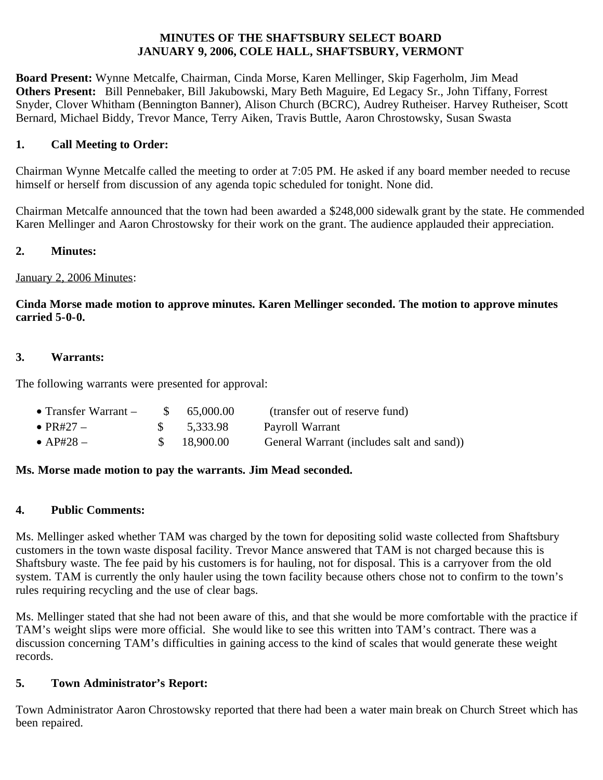#### **MINUTES OF THE SHAFTSBURY SELECT BOARD JANUARY 9, 2006, COLE HALL, SHAFTSBURY, VERMONT**

**Board Present:** Wynne Metcalfe, Chairman, Cinda Morse, Karen Mellinger, Skip Fagerholm, Jim Mead **Others Present:** Bill Pennebaker, Bill Jakubowski, Mary Beth Maguire, Ed Legacy Sr., John Tiffany, Forrest Snyder, Clover Whitham (Bennington Banner), Alison Church (BCRC), Audrey Rutheiser. Harvey Rutheiser, Scott Bernard, Michael Biddy, Trevor Mance, Terry Aiken, Travis Buttle, Aaron Chrostowsky, Susan Swasta

## **1. Call Meeting to Order:**

Chairman Wynne Metcalfe called the meeting to order at 7:05 PM. He asked if any board member needed to recuse himself or herself from discussion of any agenda topic scheduled for tonight. None did.

Chairman Metcalfe announced that the town had been awarded a \$248,000 sidewalk grant by the state. He commended Karen Mellinger and Aaron Chrostowsky for their work on the grant. The audience applauded their appreciation.

### **2. Minutes:**

### January 2, 2006 Minutes:

### **Cinda Morse made motion to approve minutes. Karen Mellinger seconded. The motion to approve minutes carried 5-0-0.**

### **3. Warrants:**

The following warrants were presented for approval:

| • Transfer Warrant $-$ | \$ 65,000.00 | (transfer out of reserve fund)            |
|------------------------|--------------|-------------------------------------------|
| $\bullet$ PR#27 $-$    | 5,333.98     | Payroll Warrant                           |
| $\bullet$ AP#28 –      | \$ 18,900.00 | General Warrant (includes salt and sand)) |

#### **Ms. Morse made motion to pay the warrants. Jim Mead seconded.**

#### **4. Public Comments:**

Ms. Mellinger asked whether TAM was charged by the town for depositing solid waste collected from Shaftsbury customers in the town waste disposal facility. Trevor Mance answered that TAM is not charged because this is Shaftsbury waste. The fee paid by his customers is for hauling, not for disposal. This is a carryover from the old system. TAM is currently the only hauler using the town facility because others chose not to confirm to the town's rules requiring recycling and the use of clear bags.

Ms. Mellinger stated that she had not been aware of this, and that she would be more comfortable with the practice if TAM's weight slips were more official. She would like to see this written into TAM's contract. There was a discussion concerning TAM's difficulties in gaining access to the kind of scales that would generate these weight records.

### **5. Town Administrator's Report:**

Town Administrator Aaron Chrostowsky reported that there had been a water main break on Church Street which has been repaired.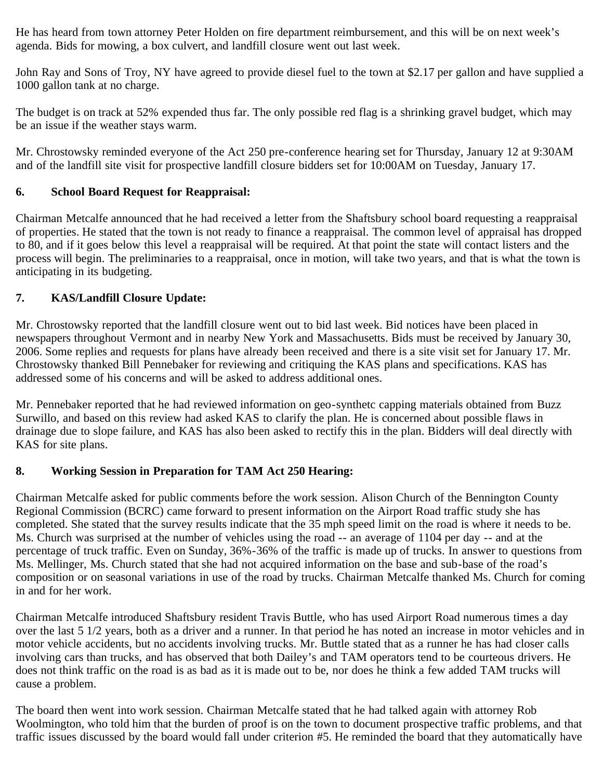He has heard from town attorney Peter Holden on fire department reimbursement, and this will be on next week's agenda. Bids for mowing, a box culvert, and landfill closure went out last week.

John Ray and Sons of Troy, NY have agreed to provide diesel fuel to the town at \$2.17 per gallon and have supplied a 1000 gallon tank at no charge.

The budget is on track at 52% expended thus far. The only possible red flag is a shrinking gravel budget, which may be an issue if the weather stays warm.

Mr. Chrostowsky reminded everyone of the Act 250 pre-conference hearing set for Thursday, January 12 at 9:30AM and of the landfill site visit for prospective landfill closure bidders set for 10:00AM on Tuesday, January 17.

## **6. School Board Request for Reappraisal:**

Chairman Metcalfe announced that he had received a letter from the Shaftsbury school board requesting a reappraisal of properties. He stated that the town is not ready to finance a reappraisal. The common level of appraisal has dropped to 80, and if it goes below this level a reappraisal will be required. At that point the state will contact listers and the process will begin. The preliminaries to a reappraisal, once in motion, will take two years, and that is what the town is anticipating in its budgeting.

## **7. KAS/Landfill Closure Update:**

Mr. Chrostowsky reported that the landfill closure went out to bid last week. Bid notices have been placed in newspapers throughout Vermont and in nearby New York and Massachusetts. Bids must be received by January 30, 2006. Some replies and requests for plans have already been received and there is a site visit set for January 17. Mr. Chrostowsky thanked Bill Pennebaker for reviewing and critiquing the KAS plans and specifications. KAS has addressed some of his concerns and will be asked to address additional ones.

Mr. Pennebaker reported that he had reviewed information on geo-synthetc capping materials obtained from Buzz Surwillo, and based on this review had asked KAS to clarify the plan. He is concerned about possible flaws in drainage due to slope failure, and KAS has also been asked to rectify this in the plan. Bidders will deal directly with KAS for site plans.

# **8. Working Session in Preparation for TAM Act 250 Hearing:**

Chairman Metcalfe asked for public comments before the work session. Alison Church of the Bennington County Regional Commission (BCRC) came forward to present information on the Airport Road traffic study she has completed. She stated that the survey results indicate that the 35 mph speed limit on the road is where it needs to be. Ms. Church was surprised at the number of vehicles using the road -- an average of 1104 per day -- and at the percentage of truck traffic. Even on Sunday, 36%-36% of the traffic is made up of trucks. In answer to questions from Ms. Mellinger, Ms. Church stated that she had not acquired information on the base and sub-base of the road's composition or on seasonal variations in use of the road by trucks. Chairman Metcalfe thanked Ms. Church for coming in and for her work.

Chairman Metcalfe introduced Shaftsbury resident Travis Buttle, who has used Airport Road numerous times a day over the last 5 1/2 years, both as a driver and a runner. In that period he has noted an increase in motor vehicles and in motor vehicle accidents, but no accidents involving trucks. Mr. Buttle stated that as a runner he has had closer calls involving cars than trucks, and has observed that both Dailey's and TAM operators tend to be courteous drivers. He does not think traffic on the road is as bad as it is made out to be, nor does he think a few added TAM trucks will cause a problem.

The board then went into work session. Chairman Metcalfe stated that he had talked again with attorney Rob Woolmington, who told him that the burden of proof is on the town to document prospective traffic problems, and that traffic issues discussed by the board would fall under criterion #5. He reminded the board that they automatically have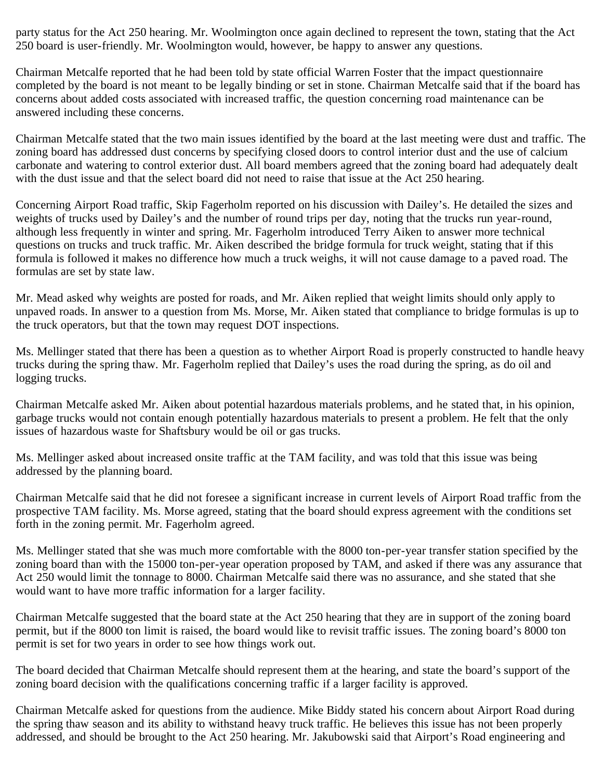party status for the Act 250 hearing. Mr. Woolmington once again declined to represent the town, stating that the Act 250 board is user-friendly. Mr. Woolmington would, however, be happy to answer any questions.

Chairman Metcalfe reported that he had been told by state official Warren Foster that the impact questionnaire completed by the board is not meant to be legally binding or set in stone. Chairman Metcalfe said that if the board has concerns about added costs associated with increased traffic, the question concerning road maintenance can be answered including these concerns.

Chairman Metcalfe stated that the two main issues identified by the board at the last meeting were dust and traffic. The zoning board has addressed dust concerns by specifying closed doors to control interior dust and the use of calcium carbonate and watering to control exterior dust. All board members agreed that the zoning board had adequately dealt with the dust issue and that the select board did not need to raise that issue at the Act 250 hearing.

Concerning Airport Road traffic, Skip Fagerholm reported on his discussion with Dailey's. He detailed the sizes and weights of trucks used by Dailey's and the number of round trips per day, noting that the trucks run year-round, although less frequently in winter and spring. Mr. Fagerholm introduced Terry Aiken to answer more technical questions on trucks and truck traffic. Mr. Aiken described the bridge formula for truck weight, stating that if this formula is followed it makes no difference how much a truck weighs, it will not cause damage to a paved road. The formulas are set by state law.

Mr. Mead asked why weights are posted for roads, and Mr. Aiken replied that weight limits should only apply to unpaved roads. In answer to a question from Ms. Morse, Mr. Aiken stated that compliance to bridge formulas is up to the truck operators, but that the town may request DOT inspections.

Ms. Mellinger stated that there has been a question as to whether Airport Road is properly constructed to handle heavy trucks during the spring thaw. Mr. Fagerholm replied that Dailey's uses the road during the spring, as do oil and logging trucks.

Chairman Metcalfe asked Mr. Aiken about potential hazardous materials problems, and he stated that, in his opinion, garbage trucks would not contain enough potentially hazardous materials to present a problem. He felt that the only issues of hazardous waste for Shaftsbury would be oil or gas trucks.

Ms. Mellinger asked about increased onsite traffic at the TAM facility, and was told that this issue was being addressed by the planning board.

Chairman Metcalfe said that he did not foresee a significant increase in current levels of Airport Road traffic from the prospective TAM facility. Ms. Morse agreed, stating that the board should express agreement with the conditions set forth in the zoning permit. Mr. Fagerholm agreed.

Ms. Mellinger stated that she was much more comfortable with the 8000 ton-per-year transfer station specified by the zoning board than with the 15000 ton-per-year operation proposed by TAM, and asked if there was any assurance that Act 250 would limit the tonnage to 8000. Chairman Metcalfe said there was no assurance, and she stated that she would want to have more traffic information for a larger facility.

Chairman Metcalfe suggested that the board state at the Act 250 hearing that they are in support of the zoning board permit, but if the 8000 ton limit is raised, the board would like to revisit traffic issues. The zoning board's 8000 ton permit is set for two years in order to see how things work out.

The board decided that Chairman Metcalfe should represent them at the hearing, and state the board's support of the zoning board decision with the qualifications concerning traffic if a larger facility is approved.

Chairman Metcalfe asked for questions from the audience. Mike Biddy stated his concern about Airport Road during the spring thaw season and its ability to withstand heavy truck traffic. He believes this issue has not been properly addressed, and should be brought to the Act 250 hearing. Mr. Jakubowski said that Airport's Road engineering and